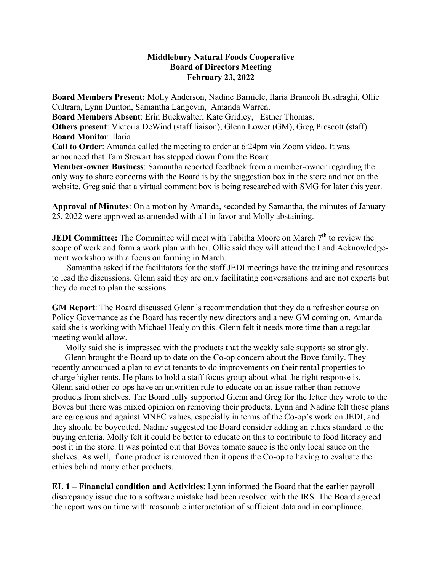## **Middlebury Natural Foods Cooperative Board of Directors Meeting February 23, 2022**

**Board Members Present:** Molly Anderson, Nadine Barnicle, Ilaria Brancoli Busdraghi, Ollie Cultrara, Lynn Dunton, Samantha Langevin, Amanda Warren.

**Board Members Absent**: Erin Buckwalter, Kate Gridley, Esther Thomas.

**Others present**: Victoria DeWind (staff liaison), Glenn Lower (GM), Greg Prescott (staff) **Board Monitor**: Ilaria

**Call to Order**: Amanda called the meeting to order at 6:24pm via Zoom video. It was announced that Tam Stewart has stepped down from the Board.

**Member-owner Business**: Samantha reported feedback from a member-owner regarding the only way to share concerns with the Board is by the suggestion box in the store and not on the website. Greg said that a virtual comment box is being researched with SMG for later this year.

**Approval of Minutes**: On a motion by Amanda, seconded by Samantha, the minutes of January 25, 2022 were approved as amended with all in favor and Molly abstaining.

**JEDI Committee:** The Committee will meet with Tabitha Moore on March 7<sup>th</sup> to review the scope of work and form a work plan with her. Ollie said they will attend the Land Acknowledgement workshop with a focus on farming in March.

 Samantha asked if the facilitators for the staff JEDI meetings have the training and resources to lead the discussions. Glenn said they are only facilitating conversations and are not experts but they do meet to plan the sessions.

**GM Report**: The Board discussed Glenn's recommendation that they do a refresher course on Policy Governance as the Board has recently new directors and a new GM coming on. Amanda said she is working with Michael Healy on this. Glenn felt it needs more time than a regular meeting would allow.

Molly said she is impressed with the products that the weekly sale supports so strongly.

 Glenn brought the Board up to date on the Co-op concern about the Bove family. They recently announced a plan to evict tenants to do improvements on their rental properties to charge higher rents. He plans to hold a staff focus group about what the right response is. Glenn said other co-ops have an unwritten rule to educate on an issue rather than remove products from shelves. The Board fully supported Glenn and Greg for the letter they wrote to the Boves but there was mixed opinion on removing their products. Lynn and Nadine felt these plans are egregious and against MNFC values, especially in terms of the Co-op's work on JEDI, and they should be boycotted. Nadine suggested the Board consider adding an ethics standard to the buying criteria. Molly felt it could be better to educate on this to contribute to food literacy and post it in the store. It was pointed out that Boves tomato sauce is the only local sauce on the shelves. As well, if one product is removed then it opens the Co-op to having to evaluate the ethics behind many other products.

**EL 1 – Financial condition and Activities**: Lynn informed the Board that the earlier payroll discrepancy issue due to a software mistake had been resolved with the IRS. The Board agreed the report was on time with reasonable interpretation of sufficient data and in compliance.